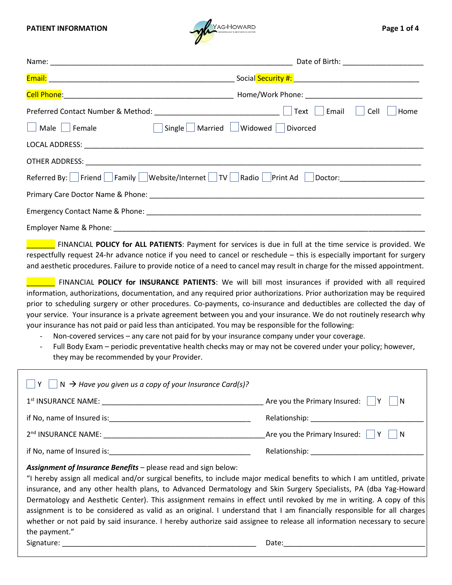

| Email<br>Cell<br>Home<br>$T_{\perp}T$                                                                                                                                                                                                                |  |  |  |  |  |
|------------------------------------------------------------------------------------------------------------------------------------------------------------------------------------------------------------------------------------------------------|--|--|--|--|--|
| Male Female  Single Married Widowed Divorced                                                                                                                                                                                                         |  |  |  |  |  |
|                                                                                                                                                                                                                                                      |  |  |  |  |  |
|                                                                                                                                                                                                                                                      |  |  |  |  |  |
| Referred By: Friend   Family   Website/Internet   TV   Radio   Print Ad   Doctor: _________________                                                                                                                                                  |  |  |  |  |  |
|                                                                                                                                                                                                                                                      |  |  |  |  |  |
|                                                                                                                                                                                                                                                      |  |  |  |  |  |
|                                                                                                                                                                                                                                                      |  |  |  |  |  |
| <b>EXECUTE:</b> FINANCIAL POLICY for ALL PATIENTS: Payment for services is due in full at the time service is provided. We<br>reconctfully request 24 by advance notice if you need to cancel or reschodule this is especially important for surgery |  |  |  |  |  |

respectfully request 24-hr advance notice if you need to cancel or reschedule – this is especially important for surgery and aesthetic procedures. Failure to provide notice of a need to cancel may result in charge for the missed appointment.

**The FINANCIAL POLICY for INSURANCE PATIENTS**: We will bill most insurances if provided with all required information, authorizations, documentation, and any required prior authorizations. Prior authorization may be required prior to scheduling surgery or other procedures. Co-payments, co-insurance and deductibles are collected the day of your service. Your insurance is a private agreement between you and your insurance. We do not routinely research why your insurance has not paid or paid less than anticipated. You may be responsible for the following:

- Non-covered services any care not paid for by your insurance company under your coverage.
- Full Body Exam periodic preventative health checks may or may not be covered under your policy; however, they may be recommended by your Provider.

| $\Box$ N $\rightarrow$ Have you given us a copy of your Insurance Card(s)?                                                                                                                                                                                                                                                                                                                                                                                                                                                                                                                                                                                                                                |                                                                                                                                                                                                                               |
|-----------------------------------------------------------------------------------------------------------------------------------------------------------------------------------------------------------------------------------------------------------------------------------------------------------------------------------------------------------------------------------------------------------------------------------------------------------------------------------------------------------------------------------------------------------------------------------------------------------------------------------------------------------------------------------------------------------|-------------------------------------------------------------------------------------------------------------------------------------------------------------------------------------------------------------------------------|
| 1 <sup>st</sup> INSURANCE NAME: NAME:                                                                                                                                                                                                                                                                                                                                                                                                                                                                                                                                                                                                                                                                     | Are you the Primary Insured: $\parallel$  Y<br>N                                                                                                                                                                              |
|                                                                                                                                                                                                                                                                                                                                                                                                                                                                                                                                                                                                                                                                                                           | Relationship: ________________                                                                                                                                                                                                |
|                                                                                                                                                                                                                                                                                                                                                                                                                                                                                                                                                                                                                                                                                                           | Are you the Primary Insured: $\parallel$  Y<br>$\overline{\mathsf{N}}$                                                                                                                                                        |
| if No, name of Insured is:                                                                                                                                                                                                                                                                                                                                                                                                                                                                                                                                                                                                                                                                                | Relationship: The contract of the contract of the contract of the contract of the contract of the contract of the contract of the contract of the contract of the contract of the contract of the contract of the contract of |
| Assignment of Insurance Benefits - please read and sign below:<br>"I hereby assign all medical and/or surgical benefits, to include major medical benefits to which I am untitled, private<br>insurance, and any other health plans, to Advanced Dermatology and Skin Surgery Specialists, PA (dba Yag-Howard<br>Dermatology and Aesthetic Center). This assignment remains in effect until revoked by me in writing. A copy of this<br>assignment is to be considered as valid as an original. I understand that I am financially responsible for all charges<br>whether or not paid by said insurance. I hereby authorize said assignee to release all information necessary to secure<br>the payment." |                                                                                                                                                                                                                               |

Signature: \_\_\_\_\_\_\_\_\_\_\_\_\_\_\_\_\_\_\_\_\_\_\_\_\_\_\_\_\_\_\_\_\_\_\_\_\_\_\_\_\_\_\_\_\_\_\_\_ Date:\_\_\_\_\_\_\_\_\_\_\_\_\_\_\_\_\_\_\_\_\_\_\_\_\_\_\_\_\_\_\_\_\_\_\_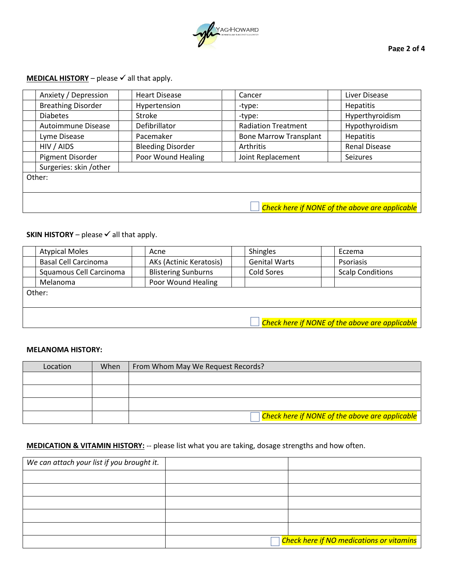

# **MEDICAL HISTORY** – please  $\checkmark$  all that apply.

| Anxiety / Depression      | <b>Heart Disease</b>     | Cancer                        | Liver Disease                                  |  |  |  |
|---------------------------|--------------------------|-------------------------------|------------------------------------------------|--|--|--|
| <b>Breathing Disorder</b> | Hypertension             | -type:                        | <b>Hepatitis</b>                               |  |  |  |
| <b>Diabetes</b>           | Stroke                   | -type:                        | Hyperthyroidism                                |  |  |  |
| Autoimmune Disease        | Defibrillator            | <b>Radiation Treatment</b>    | Hypothyroidism                                 |  |  |  |
| Lyme Disease              | Pacemaker                | <b>Bone Marrow Transplant</b> | <b>Hepatitis</b>                               |  |  |  |
| HIV / AIDS                | <b>Bleeding Disorder</b> | Arthritis                     | <b>Renal Disease</b>                           |  |  |  |
| Pigment Disorder          | Poor Wound Healing       | Joint Replacement             | Seizures                                       |  |  |  |
| Surgeries: skin /other    |                          |                               |                                                |  |  |  |
| Other:                    |                          |                               |                                                |  |  |  |
|                           |                          |                               |                                                |  |  |  |
|                           |                          |                               |                                                |  |  |  |
|                           |                          |                               | Check here if NONE of the above are applicable |  |  |  |

# **SKIN HISTORY** – please  $\checkmark$  all that apply.

| <b>Atypical Moles</b>       | Acne                       | <b>Shingles</b>      | Eczema                                         |
|-----------------------------|----------------------------|----------------------|------------------------------------------------|
| <b>Basal Cell Carcinoma</b> | AKs (Actinic Keratosis)    | <b>Genital Warts</b> | Psoriasis                                      |
| Squamous Cell Carcinoma     | <b>Blistering Sunburns</b> | <b>Cold Sores</b>    | <b>Scalp Conditions</b>                        |
| Melanoma                    | Poor Wound Healing         |                      |                                                |
| Other:                      |                            |                      |                                                |
|                             |                            |                      |                                                |
|                             |                            |                      |                                                |
|                             |                            |                      | Check here if NONE of the above are applicable |

#### **MELANOMA HISTORY:**

| Location | When | From Whom May We Request Records?                                            |
|----------|------|------------------------------------------------------------------------------|
|          |      |                                                                              |
|          |      |                                                                              |
|          |      |                                                                              |
|          |      | $\sqrt{\textsf{Check}}$ here if NONE of the above are applicable $\parallel$ |

## **MEDICATION & VITAMIN HISTORY:** -- please list what you are taking, dosage strengths and how often.

| We can attach your list if you brought it. |                                                       |
|--------------------------------------------|-------------------------------------------------------|
|                                            |                                                       |
|                                            |                                                       |
|                                            |                                                       |
|                                            |                                                       |
|                                            |                                                       |
|                                            | <mark>Check here if NO medications or vitamins</mark> |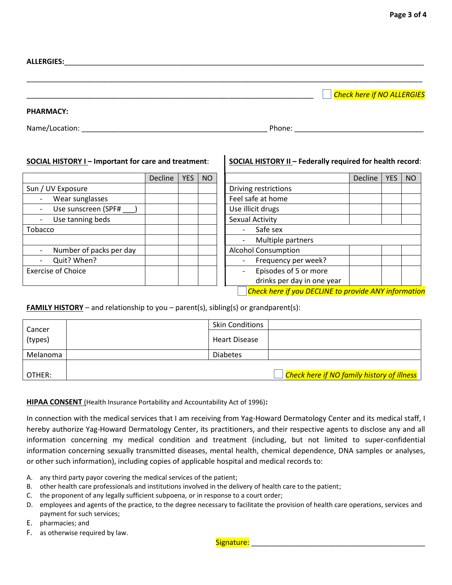| <b>ALLERGIES:</b> |  |                                   |
|-------------------|--|-----------------------------------|
|                   |  | <b>Check here if NO ALLERGIES</b> |
| <b>PHARMACY:</b>  |  |                                   |

Name/Location: \_\_\_\_\_\_\_\_\_\_\_\_\_\_\_\_\_\_\_\_\_\_\_\_\_\_\_\_\_\_\_\_\_\_\_\_\_\_\_\_\_\_\_\_\_\_ Phone: \_\_\_\_\_\_\_\_\_\_\_\_\_\_\_\_\_\_\_\_\_\_\_\_\_\_\_\_\_\_\_\_

|                           | <b>Decline</b> | <b>YES</b> | <b>NO</b> |                            |
|---------------------------|----------------|------------|-----------|----------------------------|
| Sun / UV Exposure         |                |            |           | Driving restrictions       |
| Wear sunglasses           |                |            |           | Feel safe at home          |
| Use sunscreen (SPF#       |                |            |           | Use illicit drugs          |
| Use tanning beds          |                |            |           | Sexual Activity            |
| Tobacco                   |                |            |           | Safe sex                   |
|                           |                |            |           | Multiple partners          |
| Number of packs per day   |                |            |           | <b>Alcohol Consumption</b> |
| Quit? When?               |                |            |           | Frequency per week?        |
| <b>Exercise of Choice</b> |                |            |           | Episodes of 5 or more      |
|                           |                |            |           | drinks per day in one y    |

# **SOCIAL HISTORY I – Important for care and treatment**: **SOCIAL HISTORY II – Federally required for health record**:

| Decline | <b>YES</b>                                           | NO |                            | Decline | <b>YES</b> | <b>NO</b> |  |
|---------|------------------------------------------------------|----|----------------------------|---------|------------|-----------|--|
|         |                                                      |    | Driving restrictions       |         |            |           |  |
|         |                                                      |    | Feel safe at home          |         |            |           |  |
|         |                                                      |    | Use illicit drugs          |         |            |           |  |
|         |                                                      |    | <b>Sexual Activity</b>     |         |            |           |  |
|         |                                                      |    | Safe sex                   |         |            |           |  |
|         |                                                      |    | Multiple partners          |         |            |           |  |
|         |                                                      |    | <b>Alcohol Consumption</b> |         |            |           |  |
|         |                                                      |    | Frequency per week?        |         |            |           |  |
|         |                                                      |    | Episodes of 5 or more      |         |            |           |  |
|         |                                                      |    | drinks per day in one year |         |            |           |  |
|         | Check here if you DECLINE to provide ANY information |    |                            |         |            |           |  |

# **FAMILY HISTORY** – and relationship to you – parent(s), sibling(s) or grandparent(s):

| Cancer<br>(types) | <b>Skin Conditions</b> |                                                         |
|-------------------|------------------------|---------------------------------------------------------|
|                   | <b>Heart Disease</b>   |                                                         |
| Melanoma          | <b>Diabetes</b>        |                                                         |
| OTHER:            |                        | <mark>Check here if NO family history of illness</mark> |

### **HIPAA CONSENT** (Health Insurance Portability and Accountability Act of 1996)**:**

In connection with the medical services that I am receiving from Yag-Howard Dermatology Center and its medical staff, I hereby authorize Yag-Howard Dermatology Center, its practitioners, and their respective agents to disclose any and all information concerning my medical condition and treatment (including, but not limited to super-confidential information concerning sexually transmitted diseases, mental health, chemical dependence, DNA samples or analyses, or other such information), including copies of applicable hospital and medical records to:

- A. any third party payor covering the medical services of the patient;
- B. other health care professionals and institutions involved in the delivery of health care to the patient;
- C. the proponent of any legally sufficient subpoena, or in response to a court order;
- D. employees and agents of the practice, to the degree necessary to facilitate the provision of health care operations, services and payment for such services;
- E. pharmacies; and
- F. as otherwise required by law.

Signature: \_\_\_\_\_\_\_\_\_\_\_\_\_\_\_\_\_\_\_\_\_\_\_\_\_\_\_\_\_\_\_\_\_\_\_\_\_\_\_\_\_\_\_